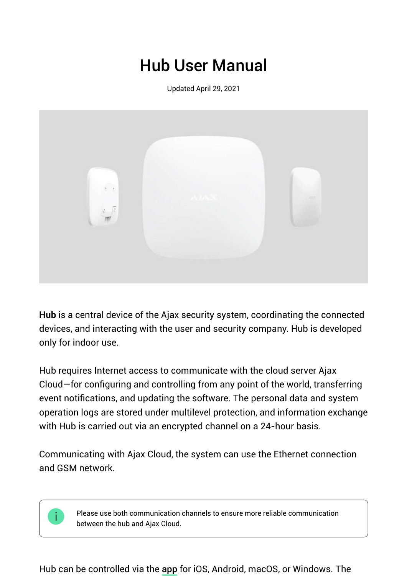# Hub User Manual

Updated April 29, 2021



**Hub** is a central device of the Ajax security system, coordinating the connected devices, and interacting with the user and security company. Hub is developed only for indoor use.

Hub requires Internet access to communicate with the cloud server Ajax Cloud—for configuring and controlling from any point of the world, transferring event notifications, and updating the software. The personal data and system operation logs are stored under multilevel protection, and information exchange with Hub is carried out via an encrypted channel on a 24-hour basis.

Communicating with Ajax Cloud, the system can use the Ethernet connection and GSM network.

> Please use both communication channels to ensure more reliable communication between the hub and Ajax Cloud.

Hub can be controlled via the app for iOS, Android, macOS, or Windows. The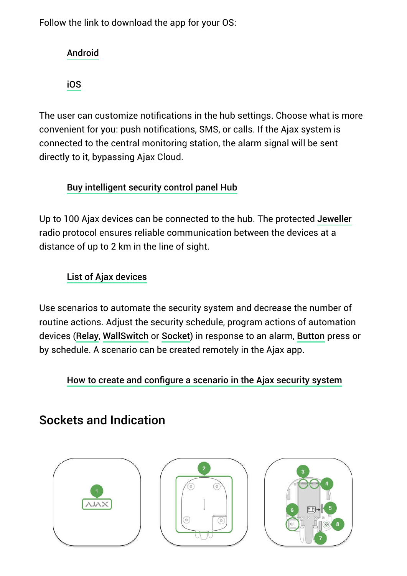Follow the link to download the app for your OS:

### Android

iOS

The user can customize notifications in the hub settings. Choose what is more convenient for you: push notifications, SMS, or calls. If the Ajax system is connected to the central monitoring station, the alarm signal will be sent directly to it, bypassing Ajax Cloud.

### Buy intelligent security control panel Hub

Up to 100 Ajax devices can be connected to the hub. The protected Jeweller radio protocol ensures reliable communication between the devices at a distance of up to 2 km in the line of sight.

### List of Ajax devices

Use scenarios to automate the security system and decrease the number of routine actions. Adjust the security schedule, program actions of automation devices (Relay, WallSwitch or Socket) in response to an alarm, Button press or by schedule. A scenario can be created remotely in the Ajax app.

How to create and configure a scenario in the Ajax security system

# Sockets and Indication





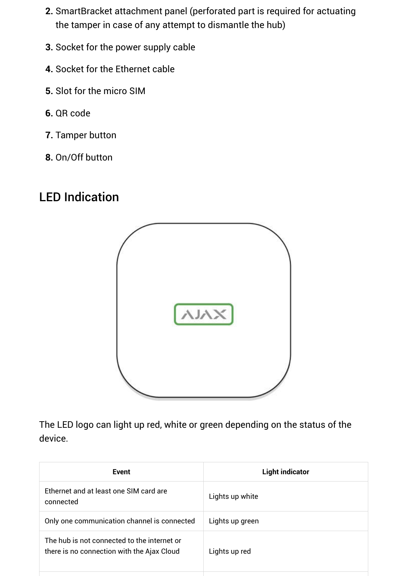- **2.** SmartBracket attachment panel (perforated part is required for actuating the tamper in case of any attempt to dismantle the hub)
- **3.** Socket for the power supply cable
- **4.** Socket for the Ethernet cable
- **5.** Slot for the micro SIM
- **6.** QR code
- **7.** Tamper button
- **8.** On/Off button

# LED Indication



The LED logo can light up red, white or green depending on the status of the device.

| Event                                                                                     | <b>Light indicator</b> |
|-------------------------------------------------------------------------------------------|------------------------|
| Ethernet and at least one SIM card are<br>connected                                       | Lights up white        |
| Only one communication channel is connected                                               | Lights up green        |
| The hub is not connected to the internet or<br>there is no connection with the Ajax Cloud | Lights up red          |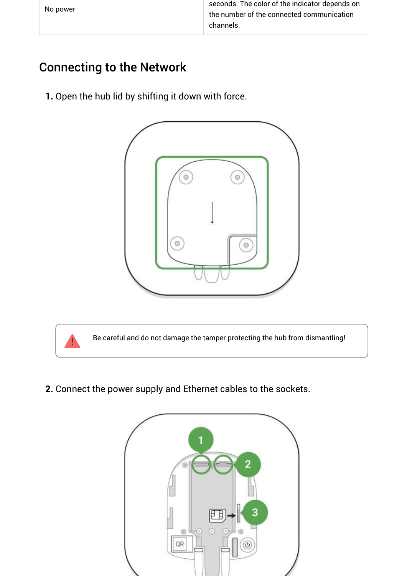| No power | seconds. The color of the indicator depends on |
|----------|------------------------------------------------|
|          | the number of the connected communication      |
|          | channels.                                      |

### Connecting to the Network

**1.** Open the hub lid by shifting it down with force.





Be careful and do not damage the tamper protecting the hub from dismantling!

**2.** Connect the power supply and Ethernet cables to the sockets.

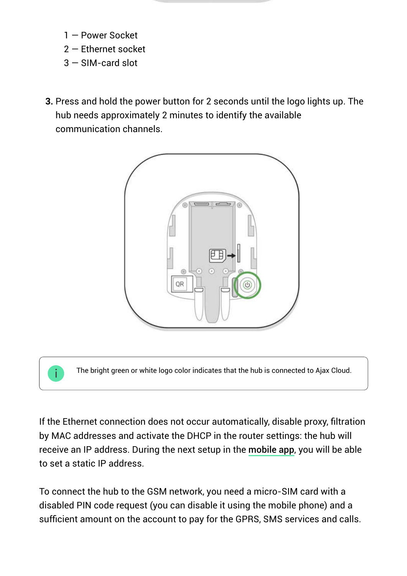- 1 Power Socket
- 2 Ethernet socket
- 3 SIM-card slot
- **3.** Press and hold the power button for 2 seconds until the logo lights up. The hub needs approximately 2 minutes to identify the available communication channels.



The bright green or white logo color indicates that the hub is connected to Ajax Cloud.

If the Ethernet connection does not occur automatically, disable proxy, filtration by MAC addresses and activate the DHCP in the router settings: the hub will receive an IP address. During the next setup in the **mobile app**, you will be able to set a static IP address.

To connect the hub to the GSM network, you need a micro-SIM card with a disabled PIN code request (you can disable it using the mobile phone) and a sufficient amount on the account to pay for the GPRS, SMS services and calls.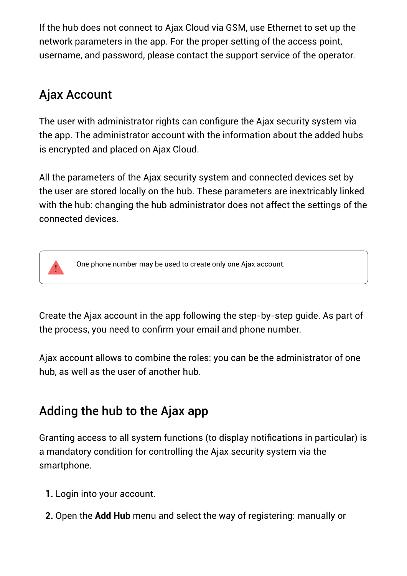If the hub does not connect to Ajax Cloud via GSM, use Ethernet to set up the network parameters in the app. For the proper setting of the access point, username, and password, please contact the support service of the operator.

## Ajax Account

The user with administrator rights can configure the Ajax security system via the app. The administrator account with the information about the added hubs is encrypted and placed on Ajax Cloud.

All the parameters of the Ajax security system and connected devices set by the user are stored locally on the hub. These parameters are inextricably linked with the hub: changing the hub administrator does not affect the settings of the connected devices.



Create the Ajax account in the app following the step-by-step guide. As part of the process, you need to confirm your email and phone number.

Ajax account allows to combine the roles: you can be the administrator of one hub, as well as the user of another hub.

## Adding the hub to the Ajax app

Granting access to all system functions (to display notifications in particular) is a mandatory condition for controlling the Ajax security system via the smartphone.

- **1.** Login into your account.
- **2.** Open the **Add Hub** menu and select the way of registering: manually or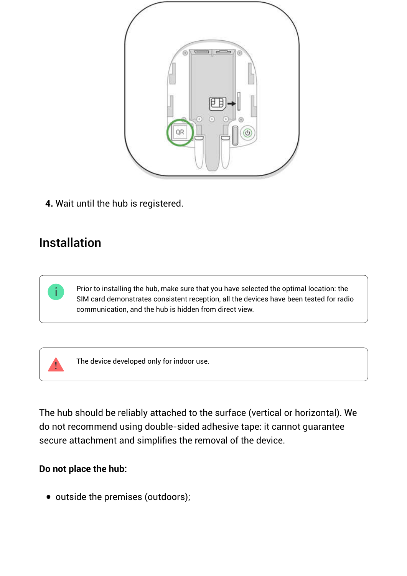

**4.** Wait until the hub is registered.

### Installation

i.

Prior to installing the hub, make sure that you have selected the optimal location: the SIM card demonstrates consistent reception, all the devices have been tested for radio communication, and the hub is hidden from direct view.

The device developed only for indoor use.

The hub should be reliably attached to the surface (vertical or horizontal). We do not recommend using double-sided adhesive tape: it cannot guarantee secure attachment and simplifies the removal of the device.

#### **Do not place the hub:**

• outside the premises (outdoors);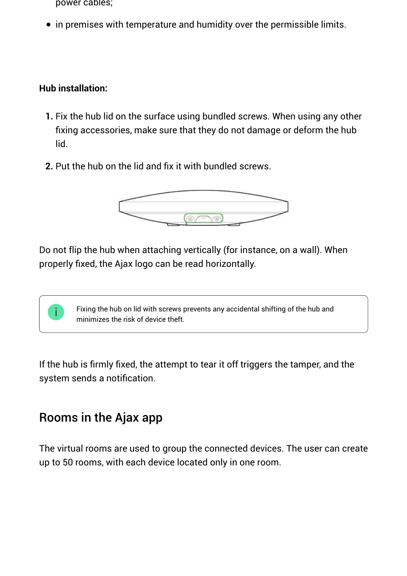- power cables;
- in premises with temperature and humidity over the permissible limits.

#### **Hub installation:**

- **1.** Fix the hub lid on the surface using bundled screws. When using any other fixing accessories, make sure that they do not damage or deform the hub lid.
- **2.** Put the hub on the lid and fix it with bundled screws.



Do not flip the hub when attaching vertically (for instance, on a wall). When properly fixed, the Ajax logo can be read horizontally.



If the hub is firmly fixed, the attempt to tear it off triggers the tamper, and the system sends a notification.

### Rooms in the Ajax app

The virtual rooms are used to group the connected devices. The user can create up to 50 rooms, with each device located only in one room.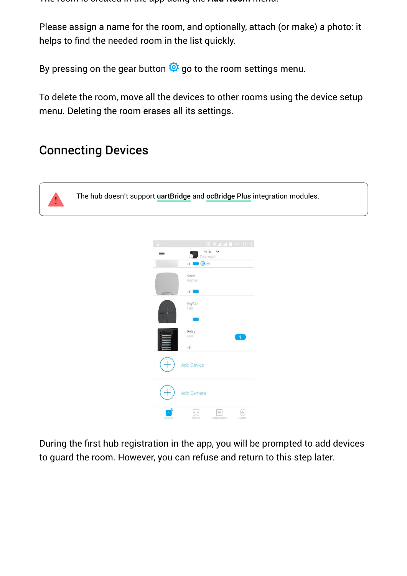The room is created in the app using the **Add Room** menu.

Please assign a name for the room, and optionally, attach (or make) a photo: it helps to find the needed room in the list quickly.

By pressing on the gear button  $\ddot{\mathbf{Q}}$  go to the room settings menu.

To delete the room, move all the devices to other rooms using the device setup menu. Deleting the room erases all its settings.

### Connecting Devices

The hub doesn't support **uartBridge** and **ocBridge Plus** integration modules.



During the first hub registration in the app, you will be prompted to add devices to guard the room. However, you can refuse and return to this step later.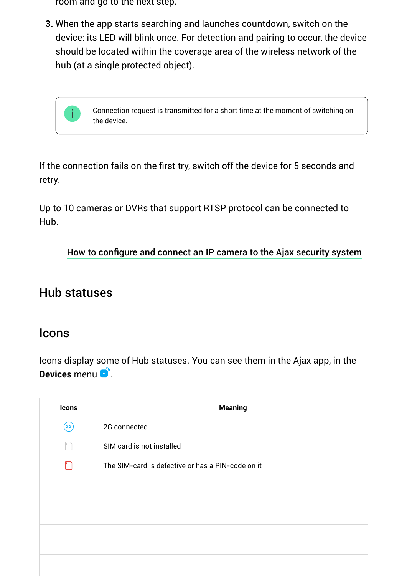room and go to the next step.

**3.** When the app starts searching and launches countdown, switch on the device: its LED will blink once. For detection and pairing to occur, the device should be located within the coverage area of the wireless network of the hub (at a single protected object).

> Сonnection request is transmitted for a short time at the moment of switching on the device.

If the connection fails on the first try, switch off the device for 5 seconds and retry.

Up to 10 cameras or DVRs that support RTSP protocol can be connected to Hub.

How to configure and connect an IP camera to the Ajax security system

### Hub statuses

### Icons

Icons display some of Hub statuses. You can see them in the Ajax app, in the **Devices** menu .

| <b>Icons</b> | <b>Meaning</b>                                    |
|--------------|---------------------------------------------------|
| (26)         | 2G connected                                      |
| $\ket{1111}$ | SIM card is not installed                         |
| [mn          | The SIM-card is defective or has a PIN-code on it |
|              |                                                   |
|              |                                                   |
|              |                                                   |
|              |                                                   |
|              |                                                   |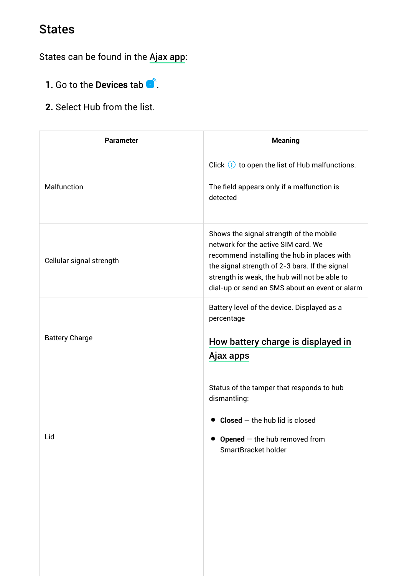## States

States can be found in the Ajax app:

- **1.** Go to the **Devices** tab **e**.
- **2.** Select Hub from the list.

| <b>Parameter</b>         | <b>Meaning</b>                                                                                                                                                                                                                                                                     |
|--------------------------|------------------------------------------------------------------------------------------------------------------------------------------------------------------------------------------------------------------------------------------------------------------------------------|
| Malfunction              | Click $\bigcirc$ to open the list of Hub malfunctions.<br>The field appears only if a malfunction is<br>detected                                                                                                                                                                   |
| Cellular signal strength | Shows the signal strength of the mobile<br>network for the active SIM card. We<br>recommend installing the hub in places with<br>the signal strength of 2-3 bars. If the signal<br>strength is weak, the hub will not be able to<br>dial-up or send an SMS about an event or alarm |
| <b>Battery Charge</b>    | Battery level of the device. Displayed as a<br>percentage<br>How battery charge is displayed in<br>Ajax apps                                                                                                                                                                       |
| Lid                      | Status of the tamper that responds to hub<br>dismantling:<br>$Closed$ – the hub lid is closed<br>$\bullet$ Opened $-$ the hub removed from<br>SmartBracket holder                                                                                                                  |
|                          |                                                                                                                                                                                                                                                                                    |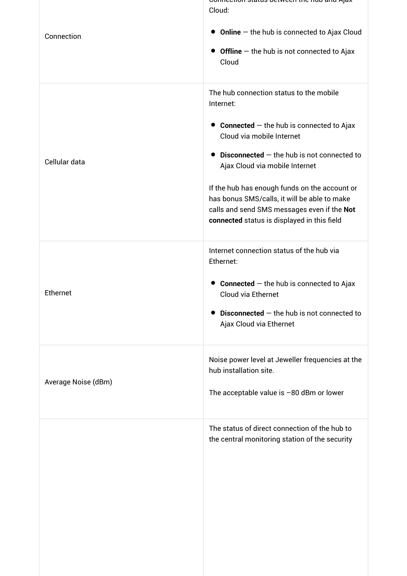| Connection          | <u> connection status between the nub and Ajax</u><br>Cloud:<br>$\bullet$ Online $-$ the hub is connected to Ajax Cloud<br>$\bullet$ Offline $-$ the hub is not connected to Ajax<br>Cloud                                                                                                                                                                                                                         |
|---------------------|--------------------------------------------------------------------------------------------------------------------------------------------------------------------------------------------------------------------------------------------------------------------------------------------------------------------------------------------------------------------------------------------------------------------|
| Cellular data       | The hub connection status to the mobile<br>Internet:<br>• Connected $-$ the hub is connected to Ajax<br>Cloud via mobile Internet<br>Disconnected $-$ the hub is not connected to<br>Ajax Cloud via mobile Internet<br>If the hub has enough funds on the account or<br>has bonus SMS/calls, it will be able to make<br>calls and send SMS messages even if the Not<br>connected status is displayed in this field |
| Ethernet            | Internet connection status of the hub via<br>Ethernet:<br><b>Connected</b> $-$ the hub is connected to Ajax<br>$\bullet$<br>Cloud via Ethernet<br><b>Disconnected</b> $-$ the hub is not connected to<br>Ajax Cloud via Ethernet                                                                                                                                                                                   |
| Average Noise (dBm) | Noise power level at Jeweller frequencies at the<br>hub installation site.<br>The acceptable value is $-80$ dBm or lower                                                                                                                                                                                                                                                                                           |
|                     | The status of direct connection of the hub to<br>the central monitoring station of the security                                                                                                                                                                                                                                                                                                                    |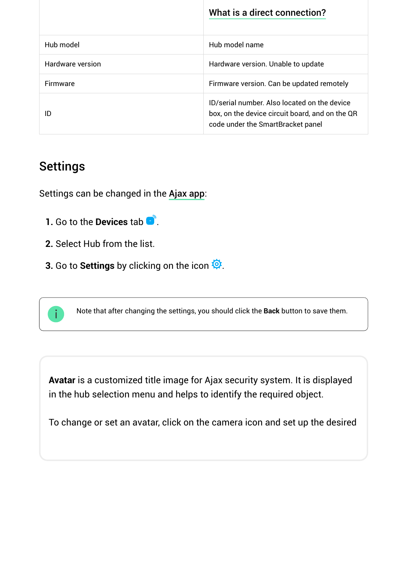|                         | What is a direct connection?                                                                                                         |
|-------------------------|--------------------------------------------------------------------------------------------------------------------------------------|
| Hub model               | Hub model name                                                                                                                       |
| <b>Hardware version</b> | Hardware version. Unable to update                                                                                                   |
| Firmware                | Firmware version. Can be updated remotely                                                                                            |
| ID                      | ID/serial number. Also located on the device<br>box, on the device circuit board, and on the QR<br>code under the SmartBracket panel |

# Settings

Settings can be changed in the Ajax app:

- **1.** Go to the **Devices** tab  $\bullet$
- **2.** Select Hub from the list.
- **3.** Go to **Settings** by clicking on the icon  $\ddot{Q}$ .



**Avatar** is a customized title image for Ajax security system. It is displayed in the hub selection menu and helps to identify the required object.

To change or set an avatar, click on the camera icon and set up the desired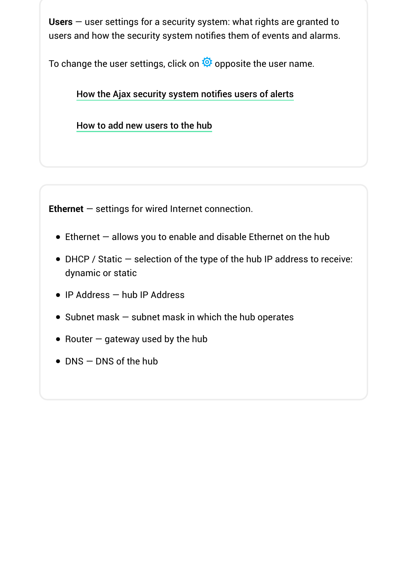**Users** — user settings for a security system: what rights are granted to users and how the security system notifies them of events and alarms.

To change the user settings, click on  $\ddot{\mathbf{Q}}$  opposite the user name.

#### How the Ajax security system notifies users of alerts

How to add new users to the hub

**Ethernet** — settings for wired Internet connection.

- $\bullet$  Ethernet  $-$  allows you to enable and disable Ethernet on the hub
- DHCP / Static selection of the type of the hub IP address to receive: dynamic or static
- IP Address hub IP Address
- $\bullet$  Subnet mask  $-$  subnet mask in which the hub operates
- Router  $-$  gateway used by the hub
- DNS DNS of the hub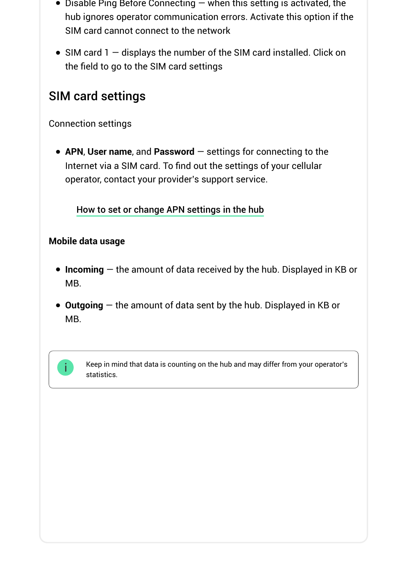- $\bullet$  Disable Ping Before Connecting  $-$  when this setting is activated, the hub ignores operator communication errors. Activate this option if the SIM card cannot connect to the network
- $\bullet$  SIM card 1  $-$  displays the number of the SIM card installed. Click on the field to go to the SIM card settings

### SIM card settings

Connection settings

**APN**, **User name**, and **Password** — settings for connecting to the Internet via a SIM card. To find out the settings of your cellular operator, contact your provider's support service.

How to set or change APN settings in the hub

#### **Mobile data usage**

- **Incoming** the amount of data received by the hub. Displayed in KB or MB.
- **Outgoing** the amount of data sent by the hub. Displayed in KB or MB.



Keep in mind that data is counting on the hub and may differ from your operator's statistics.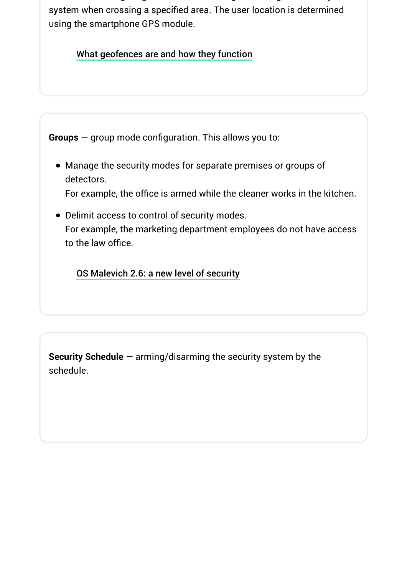**Geofence** — configuring reminders for arming/disarming the security system when crossing a specified area. The user location is determined using the smartphone GPS module.

What geofences are and how they function

**Groups** — group mode configuration. This allows you to:

Manage the security modes for separate premises or groups of detectors.

For example, the office is armed while the cleaner works in the kitchen.

Delimit access to control of security modes. For example, the marketing department employees do not have access to the law office.

OS Malevich 2.6: a new level of security

**Security Schedule** — arming/disarming the security system by the schedule.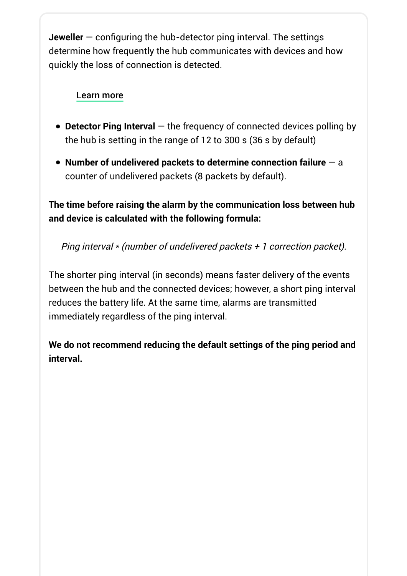**Jeweller** — configuring the hub-detector ping interval. The settings determine how frequently the hub communicates with devices and how quickly the loss of connection is detected.

#### Learn more

- **Detector Ping Interval** the frequency of connected devices polling by the hub is setting in the range of 12 to 300 s (36 s by default)
- **Number of undelivered packets to determine connection failure** a counter of undelivered packets (8 packets by default).

**The time before raising the alarm by the communication loss between hub and device is calculated with the following formula:**

Ping interval \* (number of undelivered packets + 1 correction packet).

The shorter ping interval (in seconds) means faster delivery of the events between the hub and the connected devices; however, a short ping interval reduces the battery life. At the same time, alarms are transmitted immediately regardless of the ping interval.

**We do not recommend reducing the default settings of the ping period and interval.**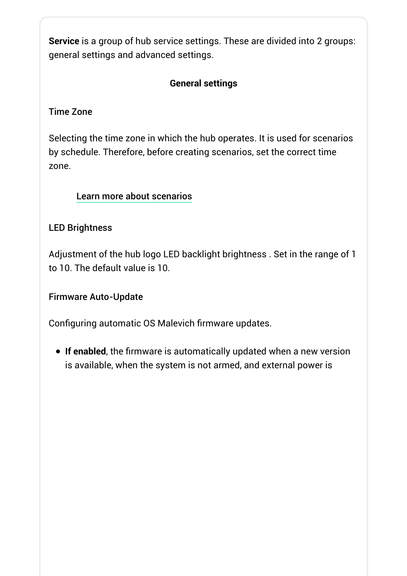**Service** is a group of hub service settings. These are divided into 2 groups: general settings and advanced settings.

#### **General settings**

#### Time Zone

Selecting the time zone in which the hub operates. It is used for scenarios by schedule. Therefore, before creating scenarios, set the correct time zone.

#### Learn more about scenarios

#### LED Brightness

Adjustment of the hub logo LED backlight brightness . Set in the range of 1 to 10. The default value is 10.

#### Firmware Auto-Update

Configuring automatic OS Malevich firmware updates.

**If enabled**, the firmware is automatically updated when a new version is available, when the system is not armed, and external power is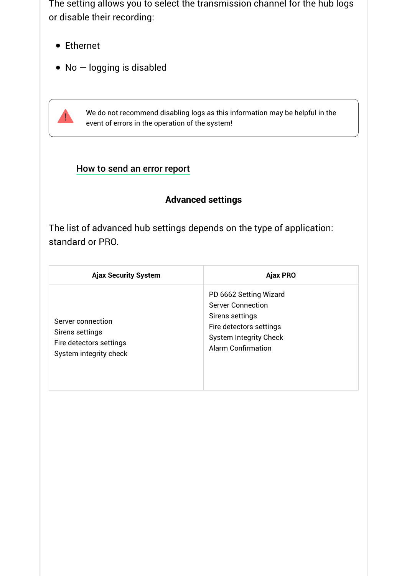The setting allows you to select the transmission channel for the hub logs or disable their recording:

- Ethernet
- $\bullet$  No  $-$  logging is disabled

We do not recommend disabling logs as this information may be helpful in the event of errors in the operation of the system!

#### How to send an error report

### **Advanced settings**

The list of advanced hub settings depends on the type of application: standard or PRO.

| <b>Ajax Security System</b>                                                               | <b>Ajax PRO</b>                                                                                                                                                |
|-------------------------------------------------------------------------------------------|----------------------------------------------------------------------------------------------------------------------------------------------------------------|
| Server connection<br>Sirens settings<br>Fire detectors settings<br>System integrity check | PD 6662 Setting Wizard<br><b>Server Connection</b><br>Sirens settings<br>Fire detectors settings<br><b>System Integrity Check</b><br><b>Alarm Confirmation</b> |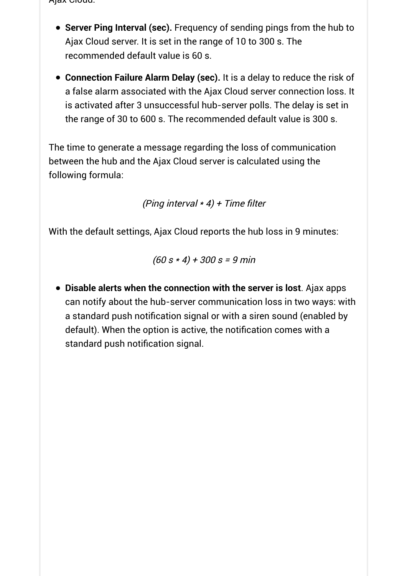Ajax Cloud:

- **Server Ping Interval (sec).** Frequency of sending pings from the hub to Ajax Cloud server. It is set in the range of 10 to 300 s. The recommended default value is 60 s.
- **Connection Failure Alarm Delay (sec).** It is a delay to reduce the risk of a false alarm associated with the Ajax Cloud server connection loss. It is activated after 3 unsuccessful hub-server polls. The delay is set in the range of 30 to 600 s. The recommended default value is 300 s.

The time to generate a message regarding the loss of communication between the hub and the Ajax Cloud server is calculated using the following formula:

(Ping interval  $*$  4) + Time filter

With the default settings, Ajax Cloud reports the hub loss in 9 minutes:

 $(60 s * 4) + 300 s = 9$  min

**Disable alerts when the connection with the server is lost**. Ajax apps can notify about the hub-server communication loss in two ways: with a standard push notification signal or with a siren sound (enabled by default). When the option is active, the notification comes with a standard push notification signal.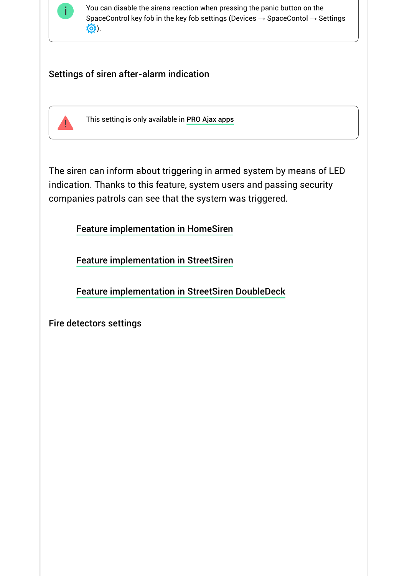

You can disable the sirens reaction when pressing the panic button on the SpaceControl key fob in the key fob settings (Devices  $\rightarrow$  SpaceContol  $\rightarrow$  Settings  $\ddot{Q}$ ).

#### Settings of siren after-alarm indication



This setting is only available in PRO Ajax apps

The siren can inform about triggering in armed system by means of LED indication. Thanks to this feature, system users and passing security companies patrols can see that the system was triggered.

Feature implementation in HomeSiren

Feature implementation in StreetSiren

Feature implementation in StreetSiren DoubleDeck

Fire detectors settings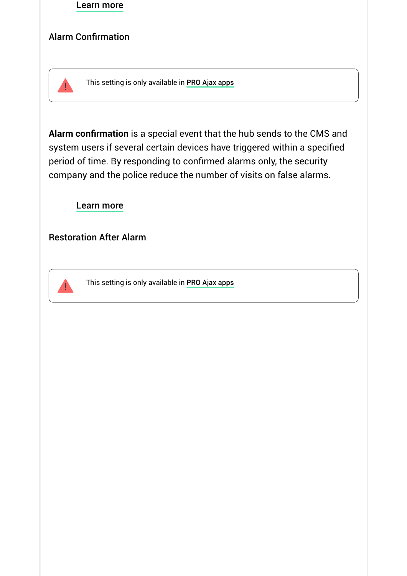

#### Alarm Confirmation



This setting is only available in PRO Ajax apps

**Alarm confirmation** is a special event that the hub sends to the CMS and system users if several certain devices have triggered within a specified period of time. By responding to confirmed alarms only, the security company and the police reduce the number of visits on false alarms.

Learn more

Restoration After Alarm



This setting is only available in PRO Ajax apps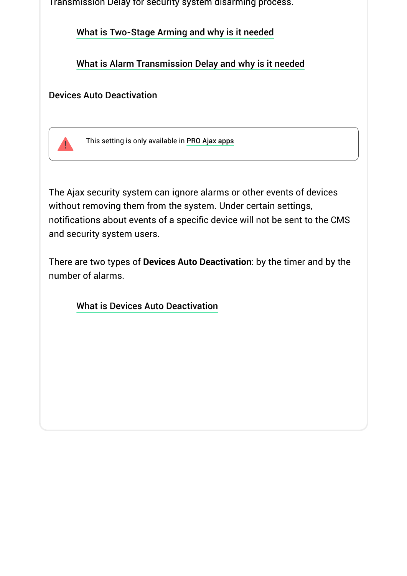Transmission Delay for security system disarming process.

What is Two-Stage Arming and why is it needed

What is Alarm Transmission Delay and why is it needed

#### Devices Auto Deactivation



This setting is only available in PRO Ajax apps

The Ajax security system can ignore alarms or other events of devices without removing them from the system. Under certain settings, notifications about events of a specific device will not be sent to the CMS and security system users.

There are two types of **Devices Auto Deactivation**: by the timer and by the number of alarms.

What is Devices Auto Deactivation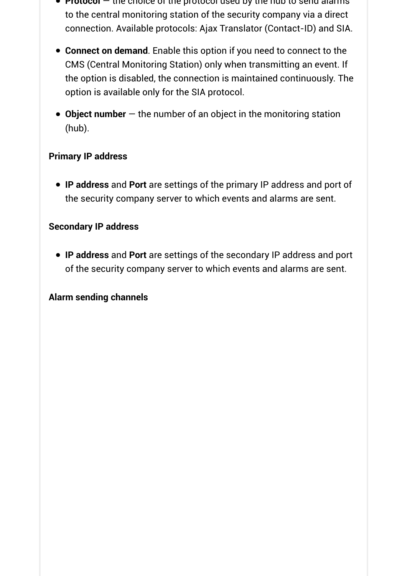- **Protocol** the choice of the protocol used by the hub to send alarms to the central monitoring station of the security company via a direct connection. Available protocols: Ajax Translator (Contact-ID) and SIA.
- **Connect on demand**. Enable this option if you need to connect to the CMS (Central Monitoring Station) only when transmitting an event. If the option is disabled, the connection is maintained continuously. The option is available only for the SIA protocol.
- **Object number** the number of an object in the monitoring station (hub).

#### **Primary IP address**

**IP address** and **Port** are settings of the primary IP address and port of the security company server to which events and alarms are sent.

#### **Secondary IP address**

**IP address** and **Port** are settings of the secondary IP address and port of the security company server to which events and alarms are sent.

#### **Alarm sending channels**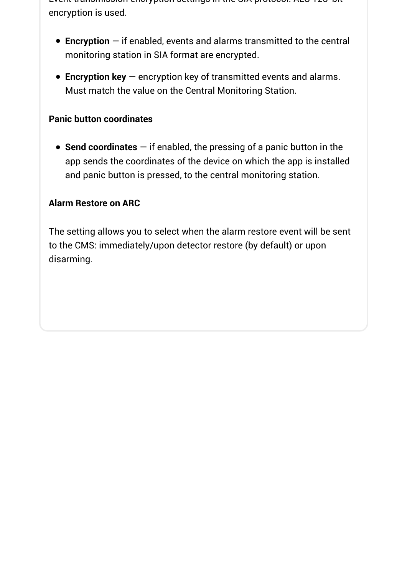Event transmission encryption settings in the SIA protocol. AES 128-bit encryption is used.

- **Encryption** if enabled, events and alarms transmitted to the central monitoring station in SIA format are encrypted.
- **Encryption key** encryption key of transmitted events and alarms. Must match the value on the Central Monitoring Station.

#### **Panic button coordinates**

**Send coordinates** — if enabled, the pressing of a panic button in the app sends the coordinates of the device on which the app is installed and panic button is pressed, to the central monitoring station.

#### **Alarm Restore on ARC**

The setting allows you to select when the alarm restore event will be sent to the CMS: immediately/upon detector restore (by default) or upon disarming.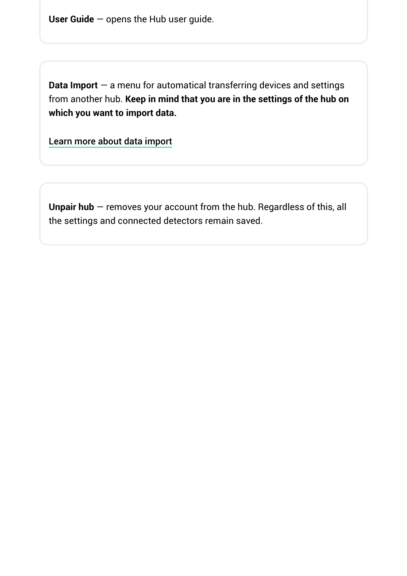**User Guide** — opens the Hub user guide.

**Data Import** — a menu for automatical transferring devices and settings from another hub. **Keep in mind that you are in the settings of the hub on which you want to import data.**

Learn more about data import

**Unpair hub** — removes your account from the hub. Regardless of this, all the settings and connected detectors remain saved.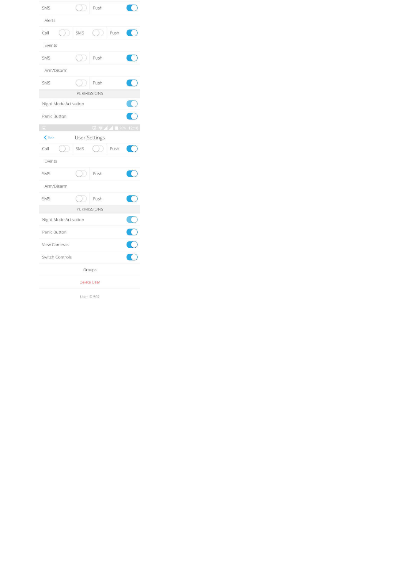| SMS                               | $\rightarrow$ | Push                 |                     |  |
|-----------------------------------|---------------|----------------------|---------------------|--|
| Alerts                            |               |                      |                     |  |
| ( )<br>Call                       | SMS           | ( )                  | Push                |  |
| Events                            |               |                      |                     |  |
| SMS.                              |               | Push                 |                     |  |
| Arm/Disarm                        |               |                      |                     |  |
| SMS                               |               | Push                 |                     |  |
|                                   |               | PERMISSIONS          |                     |  |
| Night Mode Activation             |               |                      |                     |  |
| Panic Button                      |               |                      |                     |  |
| $\Box$                            |               |                      | ◎ ▼ 4 4 1 90% 12:16 |  |
| $\left\langle \right\rangle$ Back |               | <b>User Settings</b> |                     |  |
| Call                              | SMS           |                      | Push                |  |
| Events                            |               |                      |                     |  |
| SMS                               |               | Push                 |                     |  |
| Arm/Disarm                        |               |                      |                     |  |
| SMS                               |               | Push                 |                     |  |
| PERMISSIONS                       |               |                      |                     |  |
| Night Mode Activation             |               |                      |                     |  |
| Panic Button                      |               |                      |                     |  |
| View Cameras                      |               |                      |                     |  |
| Switch Controls                   |               |                      |                     |  |
| Groups                            |               |                      |                     |  |
| <b>Delete User</b>                |               |                      |                     |  |
| User ID 502                       |               |                      |                     |  |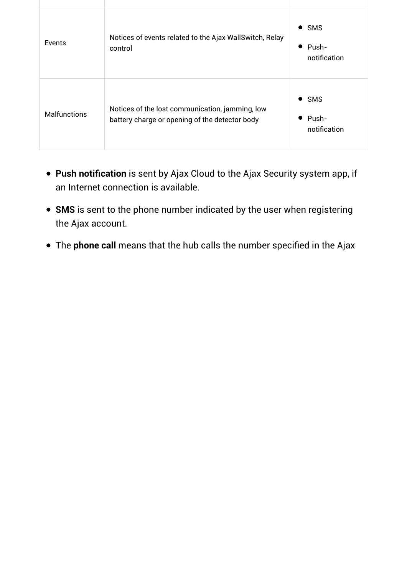| Events              | Notices of events related to the Ajax WallSwitch, Relay<br>control                                | <b>SMS</b><br>$\bullet$<br>Push-<br>$\bullet$<br>notification |
|---------------------|---------------------------------------------------------------------------------------------------|---------------------------------------------------------------|
| <b>Malfunctions</b> | Notices of the lost communication, jamming, low<br>battery charge or opening of the detector body | <b>SMS</b><br>$\bullet$<br>$\bullet$ Push-<br>notification    |

- **Push notification** is sent by Ajax Cloud to the Ajax Security system app, if an Internet connection is available.
- **SMS** is sent to the phone number indicated by the user when registering the Ajax account.
- The **phone call** means that the hub calls the number specified in the Ajax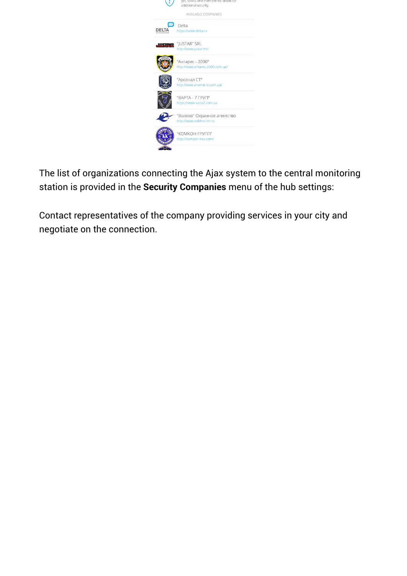

The list of organizations connecting the Ajax system to the central monitoring station is provided in the **Security Companies** menu of the hub settings:

Contact representatives of the company providing services in your city and negotiate on the connection.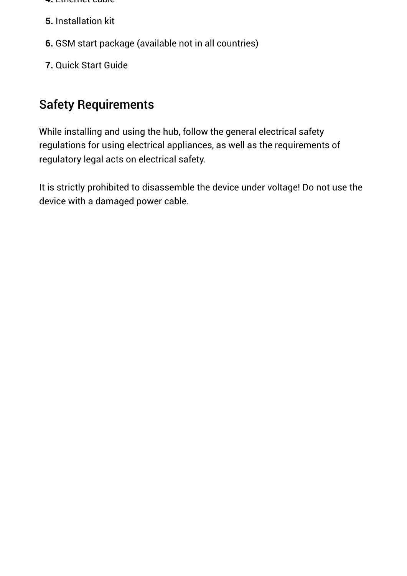- **4.** Ethernet cable
- **5.** Installation kit
- **6.** GSM start package (available not in all countries)
- **7.** Quick Start Guide

# Safety Requirements

While installing and using the hub, follow the general electrical safety regulations for using electrical appliances, as well as the requirements of regulatory legal acts on electrical safety.

It is strictly prohibited to disassemble the device under voltage! Do not use the device with a damaged power cable.